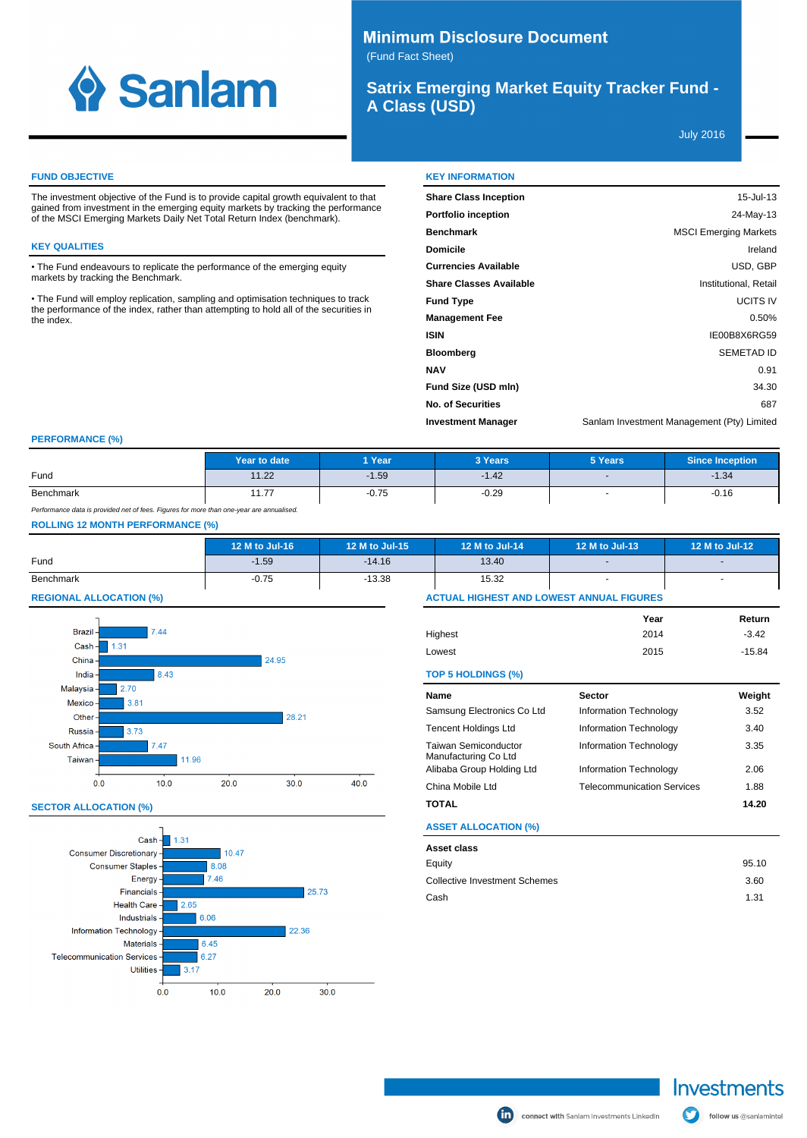

# **Minimum Disclosure Document**

(Fund Fact Sheet)

## **Satrix Emerging Market Equity Tracker Fund - A Class (USD)**

July 2016

#### **FUND OBJECTIVE**

The investment objective of the Fund is to provide capital growth equivalent to that gained from investment in the emerging equity markets by tracking the performance of the MSCI Emerging Markets Daily Net Total Return Index (benchmark).

### **KEY QUALITIES**

The Fund endeavours to replicate the performance of the emerging equity markets by tracking the Benchmark.

The Fund will employ replication, sampling and optimisation techniques to track the performance of the index, rather than attempting to hold all of the securities in the index.

| <b>KEY INFORMATION</b>         |                                            |
|--------------------------------|--------------------------------------------|
| <b>Share Class Inception</b>   | 15-Jul-13                                  |
| <b>Portfolio inception</b>     | 24-May-13                                  |
| <b>Benchmark</b>               | <b>MSCI Emerging Markets</b>               |
| <b>Domicile</b>                | Ireland                                    |
| <b>Currencies Available</b>    | USD, GBP                                   |
| <b>Share Classes Available</b> | Institutional, Retail                      |
| <b>Fund Type</b>               | <b>UCITS IV</b>                            |
| <b>Management Fee</b>          | 0.50%                                      |
| <b>ISIN</b>                    | IE00B8X6RG59                               |
| <b>Bloomberg</b>               | <b>SEMETAD ID</b>                          |
| <b>NAV</b>                     | 0.91                                       |
| Fund Size (USD mln)            | 34.30                                      |
| <b>No. of Securities</b>       | 687                                        |
| <b>Investment Manager</b>      | Sanlam Investment Management (Pty) Limited |

#### **PERFORMANCE (%)**

|           | Year to date          | 1 Year  | 3 Years | 5 Years | <b>Since Inception</b> |
|-----------|-----------------------|---------|---------|---------|------------------------|
| Fund      | 11.22                 | $-1.59$ | $-1.42$ |         | $-1.34$                |
| Benchmark | $\rightarrow$<br>11.7 | $-0.75$ | $-0.29$ |         | 0.16                   |

Performance data is provided net of fees. Figures for more than one-year are annualised.

## **ROLLING 12 MONTH PERFORMANCE (%)**

|           | 12 M to Jul-16 | 12 M to Jul-15 | 12 M to Jul-14 | 12 M to Jul-13 | 12 M to Jul-12 |
|-----------|----------------|----------------|----------------|----------------|----------------|
| Fund      | $-1.59$        | $-14.16$       | 13.40          | $\sim$         |                |
| Benchmark | $-0.75$        | $-13.38$       | 15.32          |                |                |

## **REGIONAL ALLOCATION (%)**



### **SECTOR ALLOCATION (%)**



| 13.40                                           |                        |          |
|-------------------------------------------------|------------------------|----------|
| 15.32                                           |                        |          |
| <b>ACTUAL HIGHEST AND LOWEST ANNUAL FIGURES</b> |                        |          |
|                                                 | Year                   | Return   |
| Highest                                         | 2014                   | $-3.42$  |
| Lowest                                          | 2015                   | $-15.84$ |
| TOP 5 HOLDINGS (%)                              |                        |          |
| Name                                            | <b>Sector</b>          | Weight   |
| Samsung Electronics Co Ltd                      | Information Technology | 3.52     |
| <b>Tencent Holdings Ltd</b>                     | Information Technology | 3.40     |
| Taiwan Semiconductor<br>Manufacturing Co Ltd    | Information Technology | 3.35     |
| Alibaba Group Holding Ltd                       | Information Technology | 2.06     |

## **ASSET ALLOCATION (%)**

| Asset class                          |       |
|--------------------------------------|-------|
| Equity                               | 95.10 |
| <b>Collective Investment Schemes</b> | 3.60  |
| Cash                                 | 1.31  |

China Mobile Ltd Telecommunication Services 1.88 **TOTAL 14.20**



follow us @sanlamintel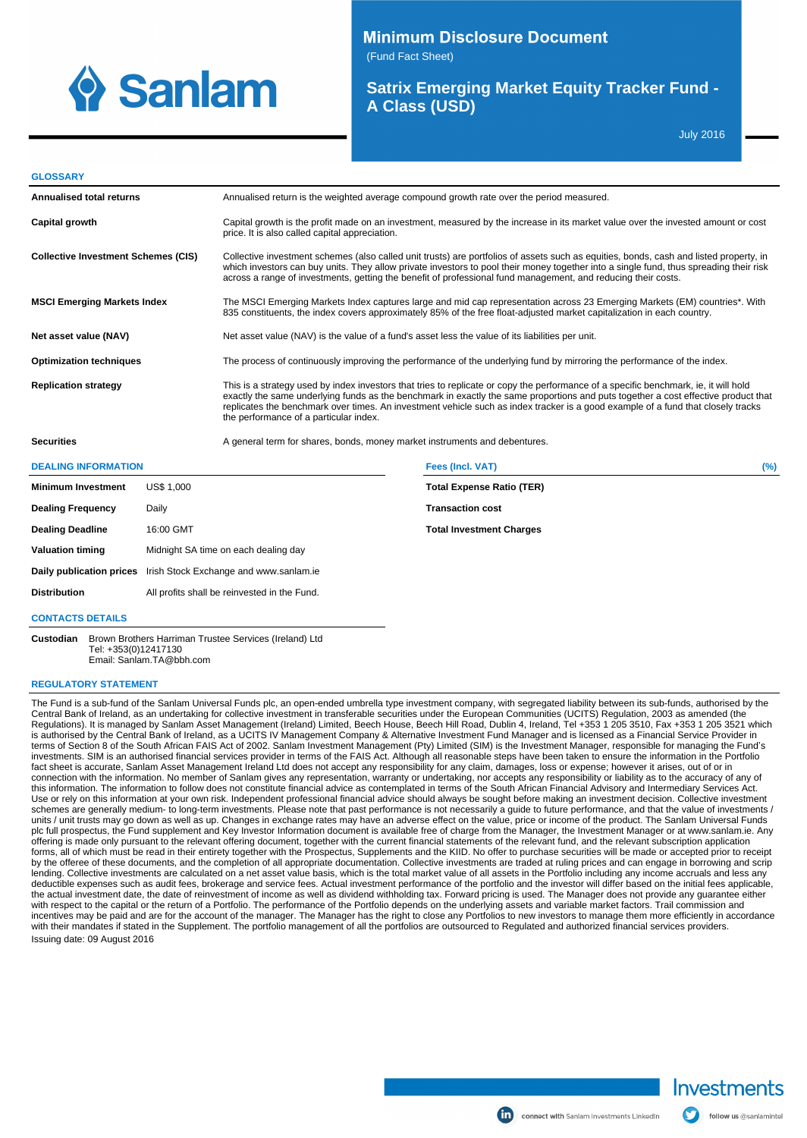

**Minimum Disclosure Document** 

**Total Investment Charges**

(Fund Fact Sheet)

**Satrix Emerging Market Equity Tracker Fund - A Class (USD)**

July 2016

#### **GLOSSARY**

| <b>Annualised total returns</b>                |  | Annualised return is the weighted average compound growth rate over the period measured.                                                                                                                                                                                                                                                                                                          |                                                                                                                                                                                                                                                                                                                                                                                                                |     |  |  |
|------------------------------------------------|--|---------------------------------------------------------------------------------------------------------------------------------------------------------------------------------------------------------------------------------------------------------------------------------------------------------------------------------------------------------------------------------------------------|----------------------------------------------------------------------------------------------------------------------------------------------------------------------------------------------------------------------------------------------------------------------------------------------------------------------------------------------------------------------------------------------------------------|-----|--|--|
| Capital growth                                 |  | Capital growth is the profit made on an investment, measured by the increase in its market value over the invested amount or cost<br>price. It is also called capital appreciation.                                                                                                                                                                                                               |                                                                                                                                                                                                                                                                                                                                                                                                                |     |  |  |
| <b>Collective Investment Schemes (CIS)</b>     |  | Collective investment schemes (also called unit trusts) are portfolios of assets such as equities, bonds, cash and listed property, in<br>which investors can buy units. They allow private investors to pool their money together into a single fund, thus spreading their risk<br>across a range of investments, getting the benefit of professional fund management, and reducing their costs. |                                                                                                                                                                                                                                                                                                                                                                                                                |     |  |  |
| <b>MSCI Emerging Markets Index</b>             |  | The MSCI Emerging Markets Index captures large and mid cap representation across 23 Emerging Markets (EM) countries*. With<br>835 constituents, the index covers approximately 85% of the free float-adjusted market capitalization in each country.                                                                                                                                              |                                                                                                                                                                                                                                                                                                                                                                                                                |     |  |  |
| Net asset value (NAV)                          |  | Net asset value (NAV) is the value of a fund's asset less the value of its liabilities per unit.                                                                                                                                                                                                                                                                                                  |                                                                                                                                                                                                                                                                                                                                                                                                                |     |  |  |
| <b>Optimization techniques</b>                 |  | The process of continuously improving the performance of the underlying fund by mirroring the performance of the index.                                                                                                                                                                                                                                                                           |                                                                                                                                                                                                                                                                                                                                                                                                                |     |  |  |
| <b>Replication strategy</b>                    |  | the performance of a particular index.                                                                                                                                                                                                                                                                                                                                                            | This is a strategy used by index investors that tries to replicate or copy the performance of a specific benchmark, ie, it will hold<br>exactly the same underlying funds as the benchmark in exactly the same proportions and puts together a cost effective product that<br>replicates the benchmark over times. An investment vehicle such as index tracker is a good example of a fund that closely tracks |     |  |  |
| <b>Securities</b>                              |  | A general term for shares, bonds, money market instruments and debentures.                                                                                                                                                                                                                                                                                                                        |                                                                                                                                                                                                                                                                                                                                                                                                                |     |  |  |
| <b>DEALING INFORMATION</b>                     |  |                                                                                                                                                                                                                                                                                                                                                                                                   | <b>Fees (Incl. VAT)</b>                                                                                                                                                                                                                                                                                                                                                                                        | (%) |  |  |
| <b>US\$ 1.000</b><br><b>Minimum Investment</b> |  |                                                                                                                                                                                                                                                                                                                                                                                                   | <b>Total Expense Ratio (TER)</b>                                                                                                                                                                                                                                                                                                                                                                               |     |  |  |
| <b>Dealing Frequency</b><br>Daily              |  |                                                                                                                                                                                                                                                                                                                                                                                                   | <b>Transaction cost</b>                                                                                                                                                                                                                                                                                                                                                                                        |     |  |  |

**Dealing Deadline** 16:00 GMT **Valuation timing** Midnight SA time on each dealing day **Daily publication prices** Irish Stock Exchange and www.sanlam.ie **Distribution** All profits shall be reinvested in the Fund.

**CONTACTS DETAILS**

**Custodian** Brown Brothers Harriman Trustee Services (Ireland) Ltd Tel: +353(0)12417130 Email: Sanlam.TA@bbh.com

#### **REGULATORY STATEMENT**

The Fund is a sub-fund of the Sanlam Universal Funds plc, an open-ended umbrella type investment company, with segregated liability between its sub-funds, authorised by the Central Bank of Ireland, as an undertaking for collective investment in transferable securities under the European Communities (UCITS) Regulation, 2003 as amended (the Regulations). It is managed by Sanlam Asset Management (Ireland) Limited, Beech House, Beech Hill Road, Dublin 4, Ireland, Tel +353 1 205 3510, Fax +353 1 205 3521 which is authorised by the Central Bank of Ireland, as a UCITS IV Management Company & Alternative Investment Fund Manager and is licensed as a Financial Service Provider in terms of Section 8 of the South African FAIS Act of 2002. Sanlam Investment Management (Pty) Limited (SIM) is the Investment Manager, responsible for managing the Fund's investments. SIM is an authorised financial services provider in terms of the FAIS Act. Although all reasonable steps have been taken to ensure the information in the Portfolio<br>fact sheet is accurate, Sanlam Asset Manageme connection with the information. No member of Sanlam gives any representation, warranty or undertaking, nor accepts any responsibility or liability as to the accuracy of any of this information. The information to follow does not constitute financial advice as contemplated in terms of the South African Financial Advisory and Intermediary Services Act. Use or rely on this information at your own risk. Independent professional financial advice should always be sought before making an investment decision. Collective investment schemes are generally medium- to long-term investments. Please note that past performance is not necessarily a guide to future performance, and that the value of investments / units / unit trusts may go down as well as up. Changes in exchange rates may have an adverse effect on the value, price or income of the product. The Sanlam Universal Funds plc full prospectus, the Fund supplement and Key Investor Information document is available free of charge from the Manager, the Investment Manager or at www.sanlam.ie. Any offering is made only pursuant to the relevant offering document, together with the current financial statements of the relevant fund, and the relevant subscription application forms, all of which must be read in their entirety together with the Prospectus, Supplements and the KIID. No offer to purchase securities will be made or accepted prior to receipt<br>by the offeree of these documents, and th lending. Collective investments are calculated on a net asset value basis, which is the total market value of all assets in the Portfolio including any income accruals and less any deductible expenses such as audit fees, brokerage and service fees. Actual investment performance of the portfolio and the investor will differ based on the initial fees applicable, the actual investment date, the date of reinvestment of income as well as dividend withholding tax. Forward pricing is used. The Manager does not provide any guarantee either with respect to the capital or the return of a Portfolio. The performance of the Portfolio depends on the underlying assets and variable market factors. Trail commission and<br>incentives may be paid and are for the account o Issuing date: 09 August 2016

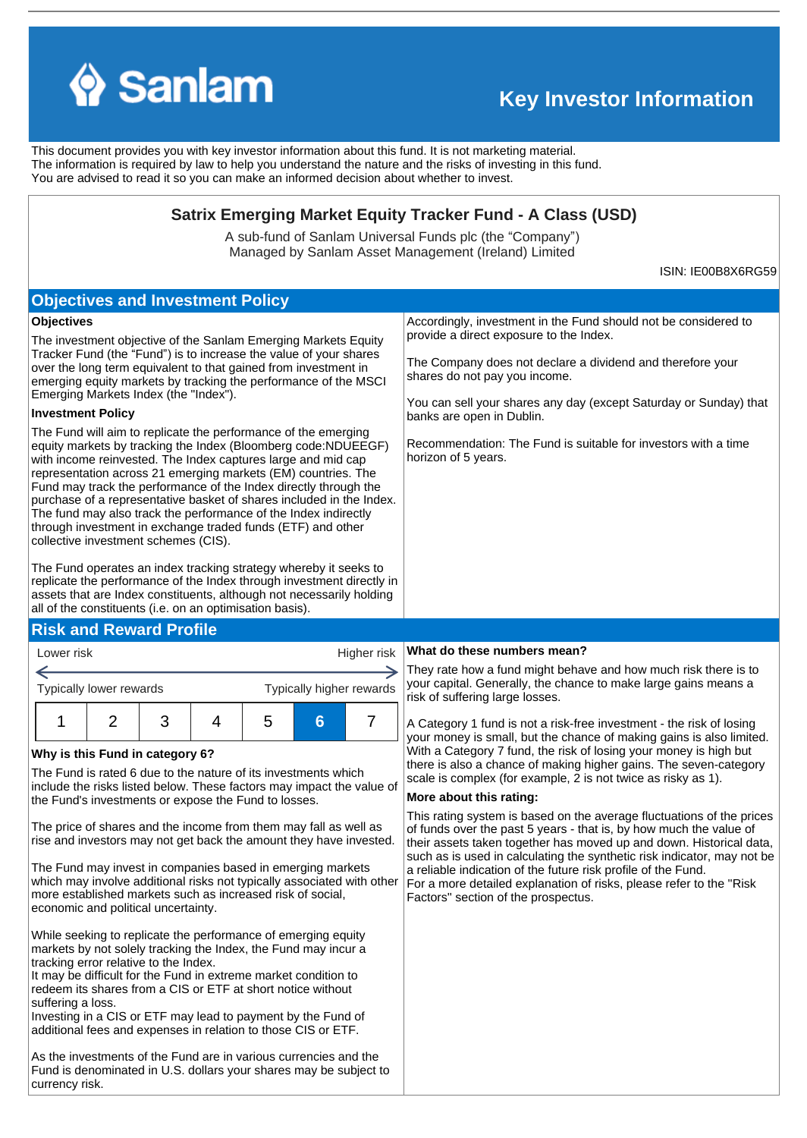

# **Key Investor Information**

This document provides you with key investor information about this fund. It is not marketing material. The information is required by law to help you understand the nature and the risks of investing in this fund. You are advised to read it so you can make an informed decision about whether to invest.

# **Satrix Emerging Market Equity Tracker Fund - A Class (USD)**

A sub-fund of Sanlam Universal Funds plc (the "Company") Managed by Sanlam Asset Management (Ireland) Limited

ISIN: IE00B8X6RG59

| <b>Objectives and Investment Policy</b>                                                                                                                                                                                                                                                                                                                                                                                                                                                                                                                                                                                                                                                                                                                                                                                                                                                                                                                                                                                                                                                                                                                                                                                                |   |   |   |                          |                                                                                                                                        |                                                                                                                                                                                                                                                                                                                                                                                                                                                                                                                                                                                                                                                                                                                     |  |
|----------------------------------------------------------------------------------------------------------------------------------------------------------------------------------------------------------------------------------------------------------------------------------------------------------------------------------------------------------------------------------------------------------------------------------------------------------------------------------------------------------------------------------------------------------------------------------------------------------------------------------------------------------------------------------------------------------------------------------------------------------------------------------------------------------------------------------------------------------------------------------------------------------------------------------------------------------------------------------------------------------------------------------------------------------------------------------------------------------------------------------------------------------------------------------------------------------------------------------------|---|---|---|--------------------------|----------------------------------------------------------------------------------------------------------------------------------------|---------------------------------------------------------------------------------------------------------------------------------------------------------------------------------------------------------------------------------------------------------------------------------------------------------------------------------------------------------------------------------------------------------------------------------------------------------------------------------------------------------------------------------------------------------------------------------------------------------------------------------------------------------------------------------------------------------------------|--|
| <b>Objectives</b>                                                                                                                                                                                                                                                                                                                                                                                                                                                                                                                                                                                                                                                                                                                                                                                                                                                                                                                                                                                                                                                                                                                                                                                                                      |   |   |   |                          | Accordingly, investment in the Fund should not be considered to                                                                        |                                                                                                                                                                                                                                                                                                                                                                                                                                                                                                                                                                                                                                                                                                                     |  |
| The investment objective of the Sanlam Emerging Markets Equity<br>Tracker Fund (the "Fund") is to increase the value of your shares<br>over the long term equivalent to that gained from investment in<br>emerging equity markets by tracking the performance of the MSCI<br>Emerging Markets Index (the "Index").                                                                                                                                                                                                                                                                                                                                                                                                                                                                                                                                                                                                                                                                                                                                                                                                                                                                                                                     |   |   |   |                          | provide a direct exposure to the Index.<br>The Company does not declare a dividend and therefore your<br>shares do not pay you income. |                                                                                                                                                                                                                                                                                                                                                                                                                                                                                                                                                                                                                                                                                                                     |  |
| <b>Investment Policy</b>                                                                                                                                                                                                                                                                                                                                                                                                                                                                                                                                                                                                                                                                                                                                                                                                                                                                                                                                                                                                                                                                                                                                                                                                               |   |   |   |                          |                                                                                                                                        | You can sell your shares any day (except Saturday or Sunday) that<br>banks are open in Dublin.                                                                                                                                                                                                                                                                                                                                                                                                                                                                                                                                                                                                                      |  |
| The Fund will aim to replicate the performance of the emerging<br>equity markets by tracking the Index (Bloomberg code:NDUEEGF)<br>with income reinvested. The Index captures large and mid cap<br>representation across 21 emerging markets (EM) countries. The<br>Fund may track the performance of the Index directly through the<br>purchase of a representative basket of shares included in the Index.<br>The fund may also track the performance of the Index indirectly<br>through investment in exchange traded funds (ETF) and other<br>collective investment schemes (CIS).                                                                                                                                                                                                                                                                                                                                                                                                                                                                                                                                                                                                                                                 |   |   |   |                          | Recommendation: The Fund is suitable for investors with a time<br>horizon of 5 years.                                                  |                                                                                                                                                                                                                                                                                                                                                                                                                                                                                                                                                                                                                                                                                                                     |  |
| The Fund operates an index tracking strategy whereby it seeks to<br>replicate the performance of the Index through investment directly in<br>assets that are Index constituents, although not necessarily holding<br>all of the constituents (i.e. on an optimisation basis).                                                                                                                                                                                                                                                                                                                                                                                                                                                                                                                                                                                                                                                                                                                                                                                                                                                                                                                                                          |   |   |   |                          |                                                                                                                                        |                                                                                                                                                                                                                                                                                                                                                                                                                                                                                                                                                                                                                                                                                                                     |  |
| <b>Risk and Reward Profile</b>                                                                                                                                                                                                                                                                                                                                                                                                                                                                                                                                                                                                                                                                                                                                                                                                                                                                                                                                                                                                                                                                                                                                                                                                         |   |   |   |                          |                                                                                                                                        |                                                                                                                                                                                                                                                                                                                                                                                                                                                                                                                                                                                                                                                                                                                     |  |
| Lower risk                                                                                                                                                                                                                                                                                                                                                                                                                                                                                                                                                                                                                                                                                                                                                                                                                                                                                                                                                                                                                                                                                                                                                                                                                             |   |   |   |                          | Higher risk                                                                                                                            | What do these numbers mean?                                                                                                                                                                                                                                                                                                                                                                                                                                                                                                                                                                                                                                                                                         |  |
|                                                                                                                                                                                                                                                                                                                                                                                                                                                                                                                                                                                                                                                                                                                                                                                                                                                                                                                                                                                                                                                                                                                                                                                                                                        |   |   |   |                          |                                                                                                                                        | They rate how a fund might behave and how much risk there is to<br>your capital. Generally, the chance to make large gains means a                                                                                                                                                                                                                                                                                                                                                                                                                                                                                                                                                                                  |  |
| Typically lower rewards                                                                                                                                                                                                                                                                                                                                                                                                                                                                                                                                                                                                                                                                                                                                                                                                                                                                                                                                                                                                                                                                                                                                                                                                                |   |   |   | Typically higher rewards |                                                                                                                                        | risk of suffering large losses.                                                                                                                                                                                                                                                                                                                                                                                                                                                                                                                                                                                                                                                                                     |  |
| 2<br>1                                                                                                                                                                                                                                                                                                                                                                                                                                                                                                                                                                                                                                                                                                                                                                                                                                                                                                                                                                                                                                                                                                                                                                                                                                 | 3 | 4 | 5 | 6                        | 7                                                                                                                                      | A Category 1 fund is not a risk-free investment - the risk of losing<br>your money is small, but the chance of making gains is also limited.                                                                                                                                                                                                                                                                                                                                                                                                                                                                                                                                                                        |  |
| Why is this Fund in category 6?<br>The Fund is rated 6 due to the nature of its investments which<br>include the risks listed below. These factors may impact the value of<br>the Fund's investments or expose the Fund to losses.<br>The price of shares and the income from them may fall as well as<br>rise and investors may not get back the amount they have invested.<br>The Fund may invest in companies based in emerging markets<br>which may involve additional risks not typically associated with other<br>more established markets such as increased risk of social,<br>economic and political uncertainty.<br>While seeking to replicate the performance of emerging equity<br>markets by not solely tracking the Index, the Fund may incur a<br>tracking error relative to the Index.<br>It may be difficult for the Fund in extreme market condition to<br>redeem its shares from a CIS or ETF at short notice without<br>suffering a loss.<br>Investing in a CIS or ETF may lead to payment by the Fund of<br>additional fees and expenses in relation to those CIS or ETF.<br>As the investments of the Fund are in various currencies and the<br>Fund is denominated in U.S. dollars your shares may be subject to |   |   |   |                          |                                                                                                                                        | With a Category 7 fund, the risk of losing your money is high but<br>there is also a chance of making higher gains. The seven-category<br>scale is complex (for example, 2 is not twice as risky as 1).<br>More about this rating:<br>This rating system is based on the average fluctuations of the prices<br>of funds over the past 5 years - that is, by how much the value of<br>their assets taken together has moved up and down. Historical data,<br>such as is used in calculating the synthetic risk indicator, may not be<br>a reliable indication of the future risk profile of the Fund.<br>For a more detailed explanation of risks, please refer to the "Risk"<br>Factors" section of the prospectus. |  |